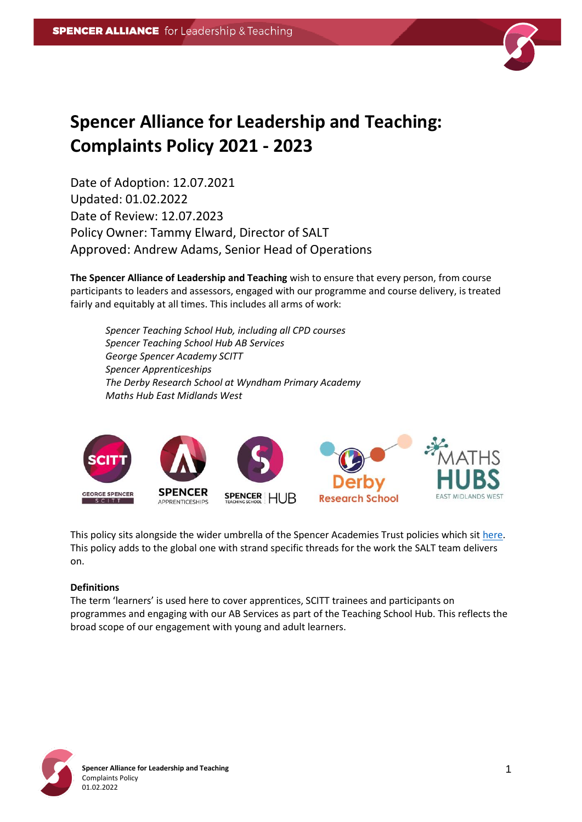

# **Spencer Alliance for Leadership and Teaching: Complaints Policy 2021 - 2023**

Date of Adoption: 12.07.2021 Updated: 01.02.2022 Date of Review: 12.07.2023 Policy Owner: Tammy Elward, Director of SALT Approved: Andrew Adams, Senior Head of Operations

**The Spencer Alliance of Leadership and Teaching** wish to ensure that every person, from course participants to leaders and assessors, engaged with our programme and course delivery, is treated fairly and equitably at all times. This includes all arms of work:

*Spencer Teaching School Hub, including all CPD courses Spencer Teaching School Hub AB Services George Spencer Academy SCITT Spencer Apprenticeships The Derby Research School at Wyndham Primary Academy Maths Hub East Midlands West*



This policy sits alongside the wider umbrella of the Spencer Academies Trust policies which sit [here.](http://satrust.com/policies/) This policy adds to the global one with strand specific threads for the work the SALT team delivers on.

#### **Definitions**

The term 'learners' is used here to cover apprentices, SCITT trainees and participants on programmes and engaging with our AB Services as part of the Teaching School Hub. This reflects the broad scope of our engagement with young and adult learners.

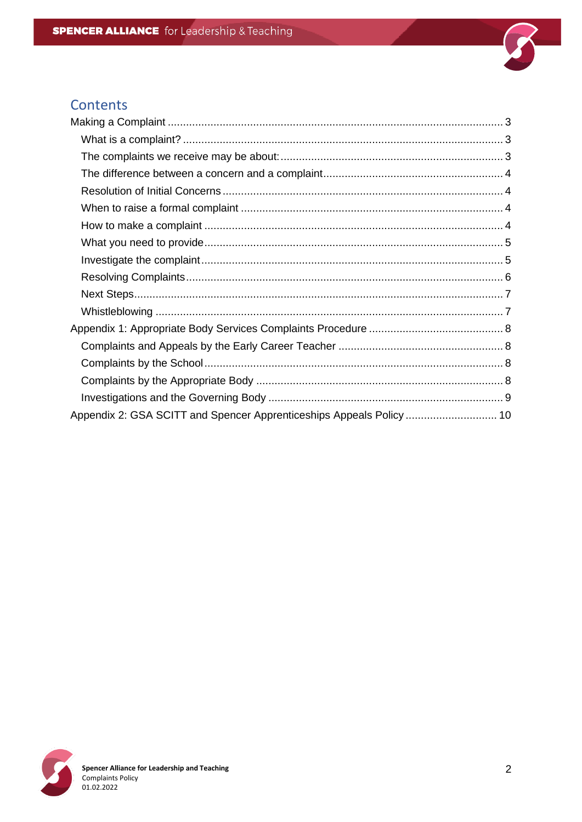

# Contents

| Appendix 2: GSA SCITT and Spencer Apprenticeships Appeals Policy  10 |  |
|----------------------------------------------------------------------|--|

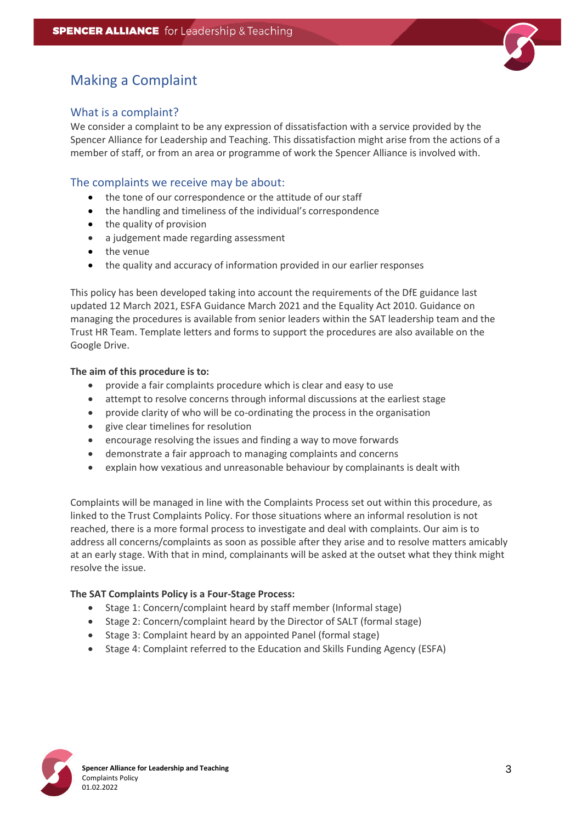

# <span id="page-2-0"></span>Making a Complaint

# <span id="page-2-1"></span>What is a complaint?

We consider a complaint to be any expression of dissatisfaction with a service provided by the Spencer Alliance for Leadership and Teaching. This dissatisfaction might arise from the actions of a member of staff, or from an area or programme of work the Spencer Alliance is involved with.

### <span id="page-2-2"></span>The complaints we receive may be about:

- the tone of our correspondence or the attitude of our staff
- the handling and timeliness of the individual's correspondence
- the quality of provision
- a judgement made regarding assessment
- the venue
- the quality and accuracy of information provided in our earlier responses

This policy has been developed taking into account the requirements of the DfE guidance last updated 12 March 2021, ESFA Guidance March 2021 and the Equality Act 2010. Guidance on managing the procedures is available from senior leaders within the SAT leadership team and the Trust HR Team. Template letters and forms to support the procedures are also available on the Google Drive.

#### **The aim of this procedure is to:**

- provide a fair complaints procedure which is clear and easy to use
- attempt to resolve concerns through informal discussions at the earliest stage
- provide clarity of who will be co-ordinating the process in the organisation
- give clear timelines for resolution
- encourage resolving the issues and finding a way to move forwards
- demonstrate a fair approach to managing complaints and concerns
- explain how vexatious and unreasonable behaviour by complainants is dealt with

Complaints will be managed in line with the Complaints Process set out within this procedure, as linked to the Trust Complaints Policy. For those situations where an informal resolution is not reached, there is a more formal process to investigate and deal with complaints. Our aim is to address all concerns/complaints as soon as possible after they arise and to resolve matters amicably at an early stage. With that in mind, complainants will be asked at the outset what they think might resolve the issue.

#### **The SAT Complaints Policy is a Four-Stage Process:**

- Stage 1: Concern/complaint heard by staff member (Informal stage)
- Stage 2: Concern/complaint heard by the Director of SALT (formal stage)
- Stage 3: Complaint heard by an appointed Panel (formal stage)
- Stage 4: Complaint referred to the Education and Skills Funding Agency (ESFA)

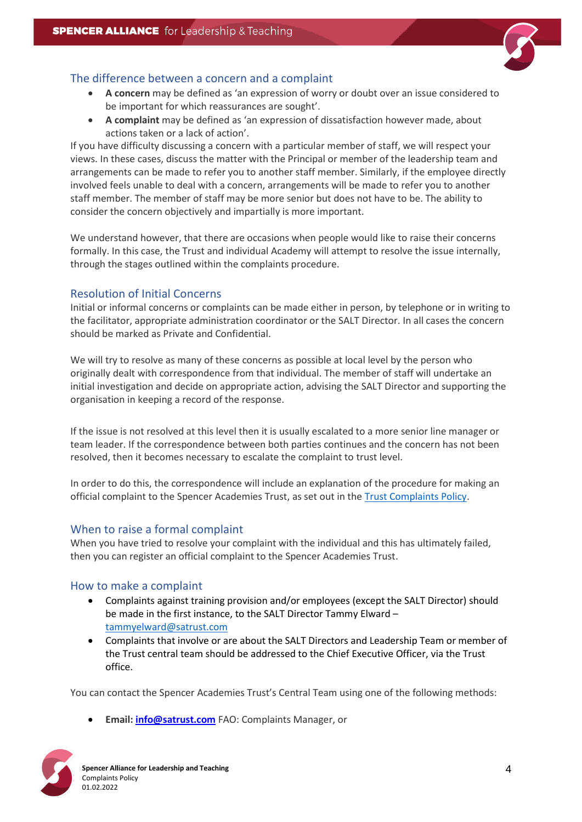

# <span id="page-3-0"></span>The difference between a concern and a complaint

- **A concern** may be defined as 'an expression of worry or doubt over an issue considered to be important for which reassurances are sought'.
- **A complaint** may be defined as 'an expression of dissatisfaction however made, about actions taken or a lack of action'.

If you have difficulty discussing a concern with a particular member of staff, we will respect your views. In these cases, discuss the matter with the Principal or member of the leadership team and arrangements can be made to refer you to another staff member. Similarly, if the employee directly involved feels unable to deal with a concern, arrangements will be made to refer you to another staff member. The member of staff may be more senior but does not have to be. The ability to consider the concern objectively and impartially is more important.

We understand however, that there are occasions when people would like to raise their concerns formally. In this case, the Trust and individual Academy will attempt to resolve the issue internally, through the stages outlined within the complaints procedure.

### <span id="page-3-1"></span>Resolution of Initial Concerns

Initial or informal concerns or complaints can be made either in person, by telephone or in writing to the facilitator, appropriate administration coordinator or the SALT Director. In all cases the concern should be marked as Private and Confidential.

We will try to resolve as many of these concerns as possible at local level by the person who originally dealt with correspondence from that individual. The member of staff will undertake an initial investigation and decide on appropriate action, advising the SALT Director and supporting the organisation in keeping a record of the response.

If the issue is not resolved at this level then it is usually escalated to a more senior line manager or team leader. If the correspondence between both parties continues and the concern has not been resolved, then it becomes necessary to escalate the complaint to trust level.

In order to do this, the correspondence will include an explanation of the procedure for making an official complaint to the Spencer Academies Trust, as set out in the [Trust Complaints Policy.](http://satrust.com/policies/)

# <span id="page-3-2"></span>When to raise a formal complaint

When you have tried to resolve your complaint with the individual and this has ultimately failed, then you can register an official complaint to the Spencer Academies Trust.

# <span id="page-3-3"></span>How to make a complaint

- Complaints against training provision and/or employees (except the SALT Director) should be made in the first instance, to the SALT Director Tammy Elward – [tammyelward@satrust.com](mailto:tammyelward@satrust.com)
- Complaints that involve or are about the SALT Directors and Leadership Team or member of the Trust central team should be addressed to the Chief Executive Officer, via the Trust office.

You can contact the Spencer Academies Trust's Central Team using one of the following methods:

• **Email[: info@satrust.com](mailto:info@satrust.com)** FAO: Complaints Manager, or

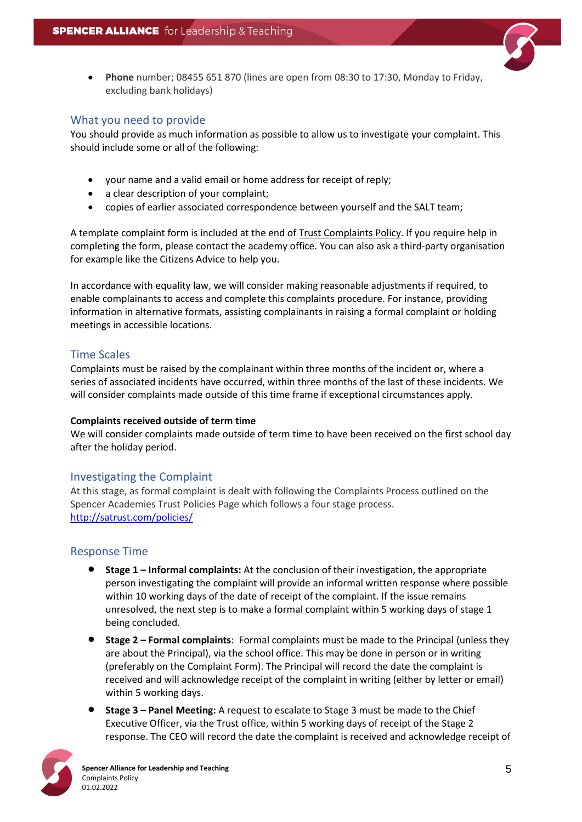

• **Phone** number; 08455 651 870 (lines are open from 08:30 to 17:30, Monday to Friday, excluding bank holidays)

### <span id="page-4-0"></span>What you need to provide

You should provide as much information as possible to allow us to investigate your complaint. This should include some or all of the following:

- your name and a valid email or home address for receipt of reply;
- a clear description of your complaint;
- copies of earlier associated correspondence between yourself and the SALT team;

A template complaint form is included at the end o[f Trust Complaints Policy.](http://satrust.com/policies/) If you require help in completing the form, please contact the academy office. You can also ask a third-party organisation for example like the Citizens Advice to help you.

In accordance with equality law, we will consider making reasonable adjustments if required, to enable complainants to access and complete this complaints procedure. For instance, providing information in alternative formats, assisting complainants in raising a formal complaint or holding meetings in accessible locations.

# Time Scales

Complaints must be raised by the complainant within three months of the incident or, where a series of associated incidents have occurred, within three months of the last of these incidents. We will consider complaints made outside of this time frame if exceptional circumstances apply.

#### **Complaints received outside of term time**

We will consider complaints made outside of term time to have been received on the first school day after the holiday period.

# <span id="page-4-1"></span>Investigating the Complaint

At this stage, as formal complaint is dealt with following the Complaints Process outlined on the Spencer Academies Trust Policies Page which follows a four stage process. <http://satrust.com/policies/>

# Response Time

- **Stage 1 – Informal complaints:** At the conclusion of their investigation, the appropriate person investigating the complaint will provide an informal written response where possible within 10 working days of the date of receipt of the complaint. If the issue remains unresolved, the next step is to make a formal complaint within 5 working days of stage 1 being concluded.
- **Stage 2 – Formal complaints**: Formal complaints must be made to the Principal (unless they are about the Principal), via the school office. This may be done in person or in writing (preferably on the Complaint Form). The Principal will record the date the complaint is received and will acknowledge receipt of the complaint in writing (either by letter or email) within 5 working days.
- **Stage 3 – Panel Meeting:** A request to escalate to Stage 3 must be made to the Chief Executive Officer, via the Trust office, within 5 working days of receipt of the Stage 2 response. The CEO will record the date the complaint is received and acknowledge receipt of

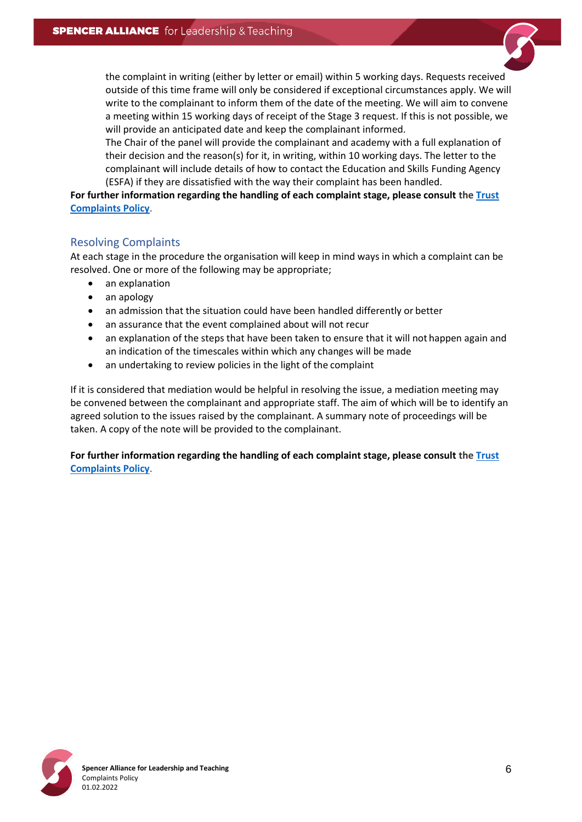the complaint in writing (either by letter or email) within 5 working days. Requests received outside of this time frame will only be considered if exceptional circumstances apply. We will write to the complainant to inform them of the date of the meeting. We will aim to convene a meeting within 15 working days of receipt of the Stage 3 request. If this is not possible, we will provide an anticipated date and keep the complainant informed.

The Chair of the panel will provide the complainant and academy with a full explanation of their decision and the reason(s) for it, in writing, within 10 working days. The letter to the complainant will include details of how to contact the Education and Skills Funding Agency (ESFA) if they are dissatisfied with the way their complaint has been handled.

**For further information regarding the handling of each complaint stage, please consult the [Trust](http://satrust.com/policies/)  [Complaints Policy](http://satrust.com/policies/)**.

#### <span id="page-5-0"></span>Resolving Complaints

At each stage in the procedure the organisation will keep in mind ways in which a complaint can be resolved. One or more of the following may be appropriate;

- an explanation
- an apology
- an admission that the situation could have been handled differently or better
- an assurance that the event complained about will not recur
- an explanation of the steps that have been taken to ensure that it will not happen again and an indication of the timescales within which any changes will be made
- an undertaking to review policies in the light of the complaint

If it is considered that mediation would be helpful in resolving the issue, a mediation meeting may be convened between the complainant and appropriate staff. The aim of which will be to identify an agreed solution to the issues raised by the complainant. A summary note of proceedings will be taken. A copy of the note will be provided to the complainant.

**For further information regarding the handling of each complaint stage, please consult the [Trust](http://satrust.com/policies/)  [Complaints Policy](http://satrust.com/policies/)**.

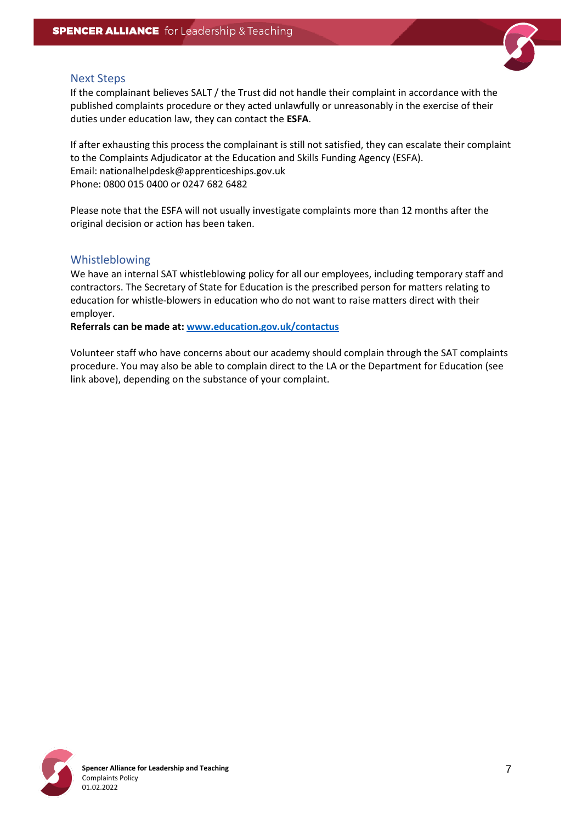

#### <span id="page-6-0"></span>Next Steps

If the complainant believes SALT / the Trust did not handle their complaint in accordance with the published complaints procedure or they acted unlawfully or unreasonably in the exercise of their duties under education law, they can contact the **ESFA**.

If after exhausting this process the complainant is still not satisfied, they can escalate their complaint to the Complaints Adjudicator at the Education and Skills Funding Agency (ESFA). Email: nationalhelpdesk@apprenticeships.gov.uk Phone: 0800 015 0400 or 0247 682 6482

Please note that the ESFA will not usually investigate complaints more than 12 months after the original decision or action has been taken.

#### <span id="page-6-1"></span>Whistleblowing

We have an internal SAT whistleblowing policy for all our employees, including temporary staff and contractors. The Secretary of State for Education is the prescribed person for matters relating to education for whistle-blowers in education who do not want to raise matters direct with their employer.

**Referrals can be made at: [www.education.gov.uk/contactus](http://www.education.gov.uk/contactus)**

Volunteer staff who have concerns about our academy should complain through the SAT complaints procedure. You may also be able to complain direct to the LA or the Department for Education (see link above), depending on the substance of your complaint.

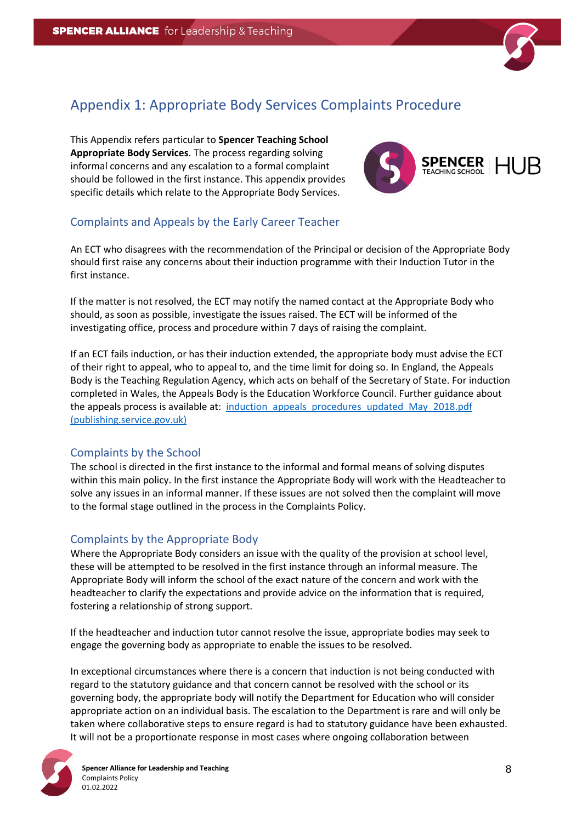

# <span id="page-7-0"></span>Appendix 1: Appropriate Body Services Complaints Procedure

This Appendix refers particular to **Spencer Teaching School Appropriate Body Services**. The process regarding solving informal concerns and any escalation to a formal complaint should be followed in the first instance. This appendix provides specific details which relate to the Appropriate Body Services.



# <span id="page-7-1"></span>Complaints and Appeals by the Early Career Teacher

An ECT who disagrees with the recommendation of the Principal or decision of the Appropriate Body should first raise any concerns about their induction programme with their Induction Tutor in the first instance.

If the matter is not resolved, the ECT may notify the named contact at the Appropriate Body who should, as soon as possible, investigate the issues raised. The ECT will be informed of the investigating office, process and procedure within 7 days of raising the complaint.

If an ECT fails induction, or has their induction extended, the appropriate body must advise the ECT of their right to appeal, who to appeal to, and the time limit for doing so. In England, the Appeals Body is the Teaching Regulation Agency, which acts on behalf of the Secretary of State. For induction completed in Wales, the Appeals Body is the Education Workforce Council. Further guidance about the appeals process is available at: induction appeals procedures updated May 2018.pdf [\(publishing.service.gov.uk\)](https://assets.publishing.service.gov.uk/government/uploads/system/uploads/attachment_data/file/740468/induction_appeals_procedures_updated_May_2018.pdf)

# <span id="page-7-2"></span>Complaints by the School

The school is directed in the first instance to the informal and formal means of solving disputes within this main policy. In the first instance the Appropriate Body will work with the Headteacher to solve any issues in an informal manner. If these issues are not solved then the complaint will move to the formal stage outlined in the process in the Complaints Policy.

# <span id="page-7-3"></span>Complaints by the Appropriate Body

Where the Appropriate Body considers an issue with the quality of the provision at school level, these will be attempted to be resolved in the first instance through an informal measure. The Appropriate Body will inform the school of the exact nature of the concern and work with the headteacher to clarify the expectations and provide advice on the information that is required, fostering a relationship of strong support.

If the headteacher and induction tutor cannot resolve the issue, appropriate bodies may seek to engage the governing body as appropriate to enable the issues to be resolved.

In exceptional circumstances where there is a concern that induction is not being conducted with regard to the statutory guidance and that concern cannot be resolved with the school or its governing body, the appropriate body will notify the Department for Education who will consider appropriate action on an individual basis. The escalation to the Department is rare and will only be taken where collaborative steps to ensure regard is had to statutory guidance have been exhausted. It will not be a proportionate response in most cases where ongoing collaboration between

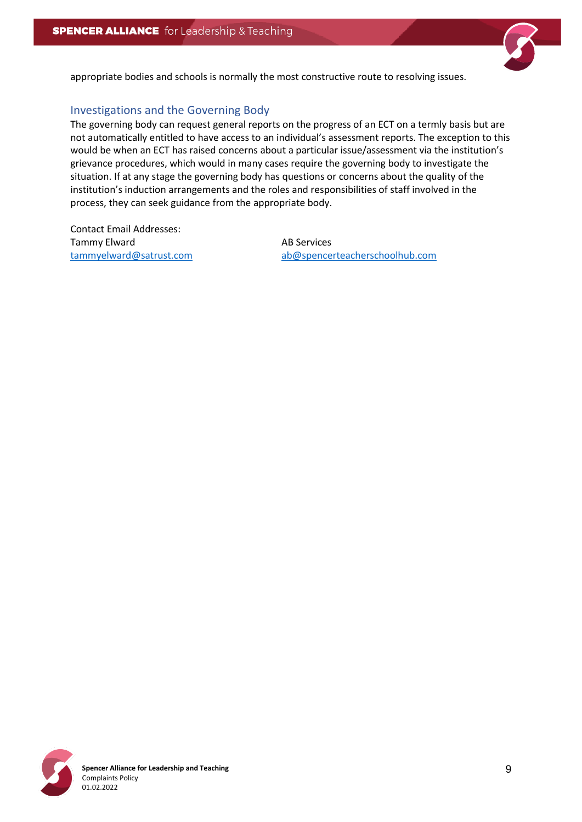

appropriate bodies and schools is normally the most constructive route to resolving issues.

### <span id="page-8-0"></span>Investigations and the Governing Body

The governing body can request general reports on the progress of an ECT on a termly basis but are not automatically entitled to have access to an individual's assessment reports. The exception to this would be when an ECT has raised concerns about a particular issue/assessment via the institution's grievance procedures, which would in many cases require the governing body to investigate the situation. If at any stage the governing body has questions or concerns about the quality of the institution's induction arrangements and the roles and responsibilities of staff involved in the process, they can seek guidance from the appropriate body.

Contact Email Addresses: Tammy Elward **AB** Services

[tammyelward@satrust.com](mailto:tammyelward@satrust.com) [ab@spencerteacherschoolhub.com](mailto:ab@spencerteacherschoolhub.com)